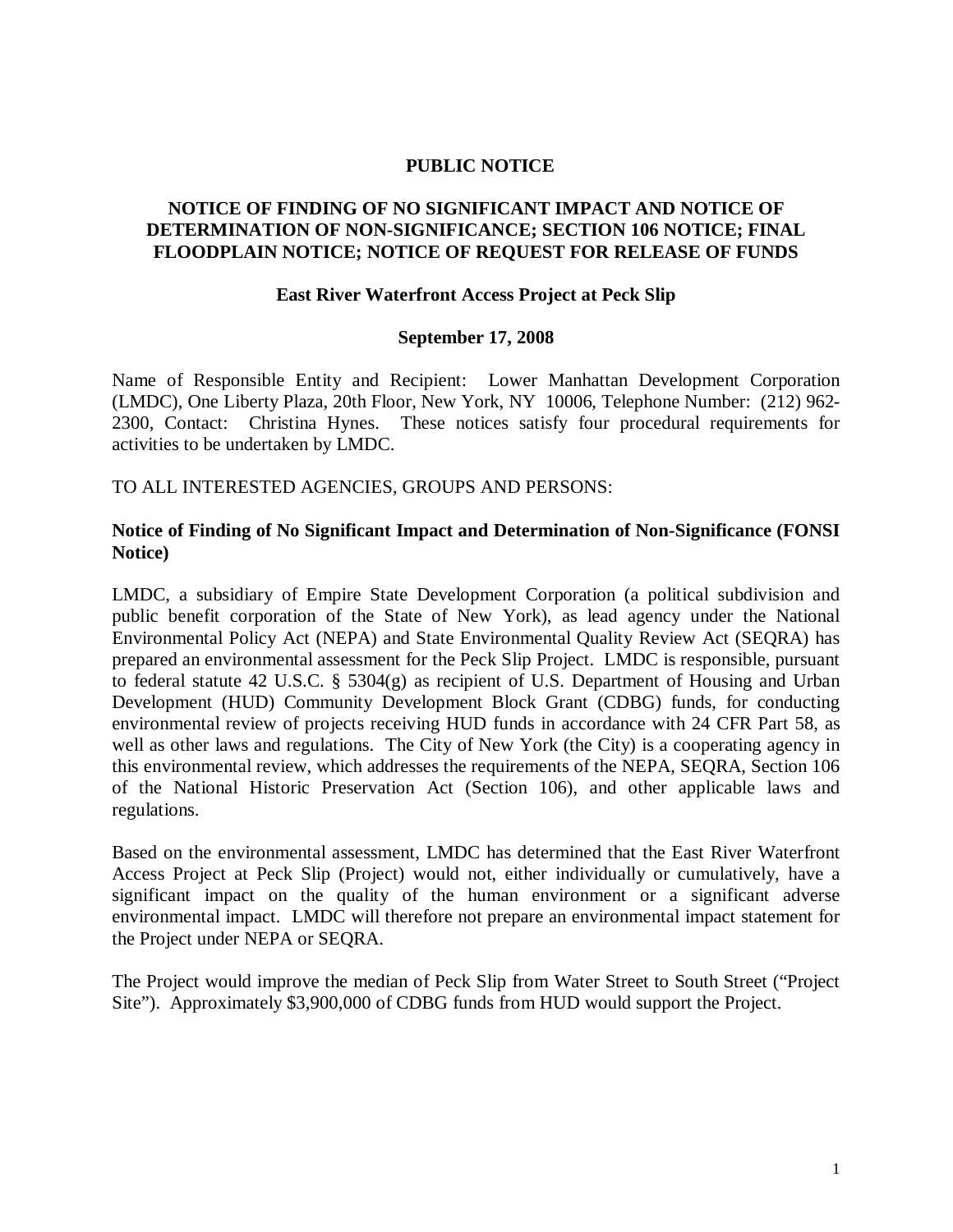### **PUBLIC NOTICE**

# **NOTICE OF FINDING OF NO SIGNIFICANT IMPACT AND NOTICE OF DETERMINATION OF NON-SIGNIFICANCE; SECTION 106 NOTICE; FINAL FLOODPLAIN NOTICE; NOTICE OF REQUEST FOR RELEASE OF FUNDS**

#### **East River Waterfront Access Project at Peck Slip**

#### **September 17, 2008**

Name of Responsible Entity and Recipient: Lower Manhattan Development Corporation (LMDC), One Liberty Plaza, 20th Floor, New York, NY 10006, Telephone Number: (212) 962- 2300, Contact: Christina Hynes. These notices satisfy four procedural requirements for activities to be undertaken by LMDC.

TO ALL INTERESTED AGENCIES, GROUPS AND PERSONS:

## **Notice of Finding of No Significant Impact and Determination of Non-Significance (FONSI Notice)**

LMDC, a subsidiary of Empire State Development Corporation (a political subdivision and public benefit corporation of the State of New York), as lead agency under the National Environmental Policy Act (NEPA) and State Environmental Quality Review Act (SEQRA) has prepared an environmental assessment for the Peck Slip Project. LMDC is responsible, pursuant to federal statute 42 U.S.C. § 5304(g) as recipient of U.S. Department of Housing and Urban Development (HUD) Community Development Block Grant (CDBG) funds, for conducting environmental review of projects receiving HUD funds in accordance with 24 CFR Part 58, as well as other laws and regulations. The City of New York (the City) is a cooperating agency in this environmental review, which addresses the requirements of the NEPA, SEQRA, Section 106 of the National Historic Preservation Act (Section 106), and other applicable laws and regulations.

Based on the environmental assessment, LMDC has determined that the East River Waterfront Access Project at Peck Slip (Project) would not, either individually or cumulatively, have a significant impact on the quality of the human environment or a significant adverse environmental impact. LMDC will therefore not prepare an environmental impact statement for the Project under NEPA or SEQRA.

The Project would improve the median of Peck Slip from Water Street to South Street ("Project Site"). Approximately \$3,900,000 of CDBG funds from HUD would support the Project.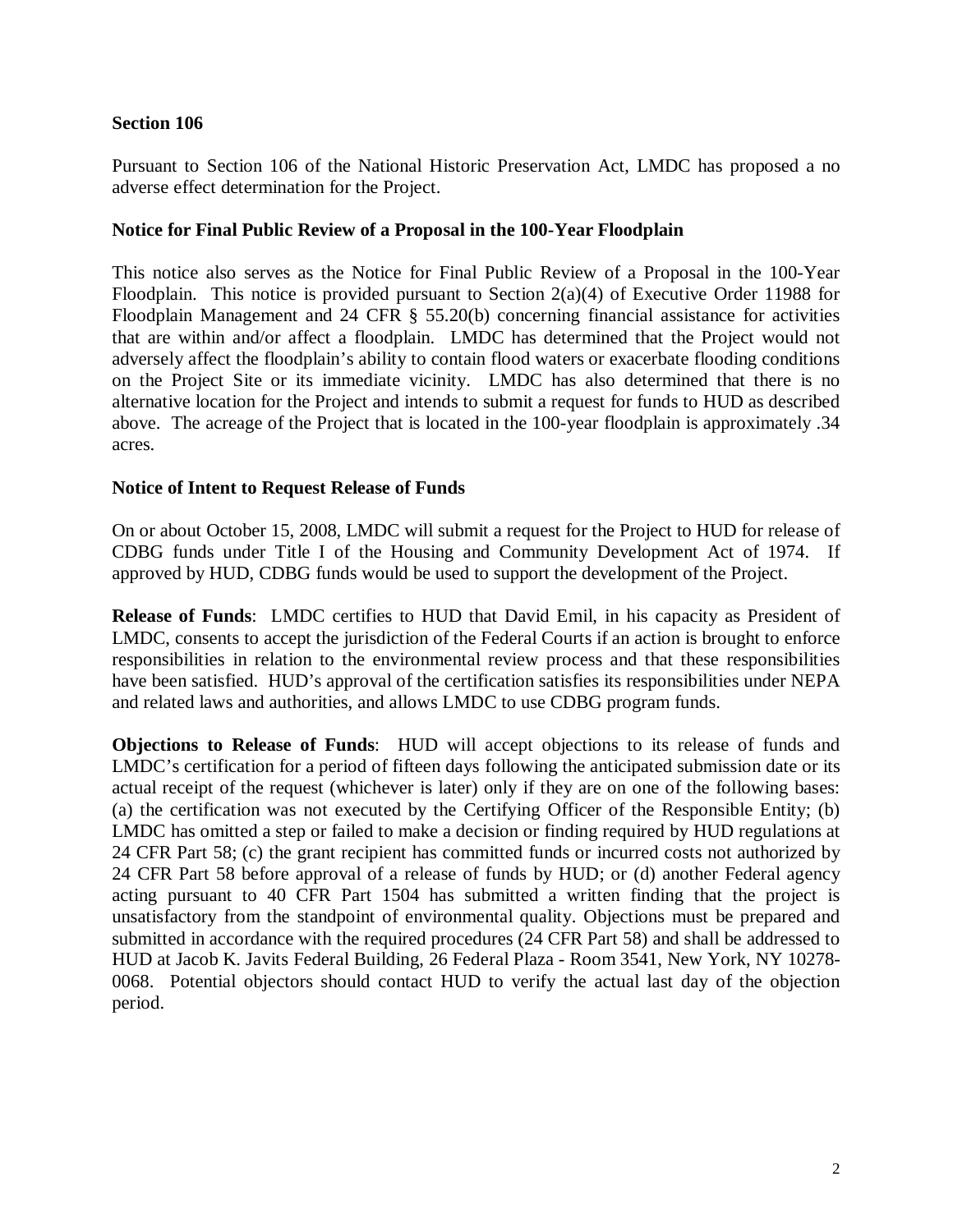# **Section 106**

Pursuant to Section 106 of the National Historic Preservation Act, LMDC has proposed a no adverse effect determination for the Project.

## **Notice for Final Public Review of a Proposal in the 100-Year Floodplain**

This notice also serves as the Notice for Final Public Review of a Proposal in the 100-Year Floodplain. This notice is provided pursuant to Section  $2(a)(4)$  of Executive Order 11988 for Floodplain Management and 24 CFR § 55.20(b) concerning financial assistance for activities that are within and/or affect a floodplain. LMDC has determined that the Project would not adversely affect the floodplain's ability to contain flood waters or exacerbate flooding conditions on the Project Site or its immediate vicinity. LMDC has also determined that there is no alternative location for the Project and intends to submit a request for funds to HUD as described above. The acreage of the Project that is located in the 100-year floodplain is approximately .34 acres.

## **Notice of Intent to Request Release of Funds**

On or about October 15, 2008, LMDC will submit a request for the Project to HUD for release of CDBG funds under Title I of the Housing and Community Development Act of 1974. If approved by HUD, CDBG funds would be used to support the development of the Project.

**Release of Funds**: LMDC certifies to HUD that David Emil, in his capacity as President of LMDC, consents to accept the jurisdiction of the Federal Courts if an action is brought to enforce responsibilities in relation to the environmental review process and that these responsibilities have been satisfied. HUD's approval of the certification satisfies its responsibilities under NEPA and related laws and authorities, and allows LMDC to use CDBG program funds.

**Objections to Release of Funds**: HUD will accept objections to its release of funds and LMDC's certification for a period of fifteen days following the anticipated submission date or its actual receipt of the request (whichever is later) only if they are on one of the following bases: (a) the certification was not executed by the Certifying Officer of the Responsible Entity; (b) LMDC has omitted a step or failed to make a decision or finding required by HUD regulations at 24 CFR Part 58; (c) the grant recipient has committed funds or incurred costs not authorized by 24 CFR Part 58 before approval of a release of funds by HUD; or (d) another Federal agency acting pursuant to 40 CFR Part 1504 has submitted a written finding that the project is unsatisfactory from the standpoint of environmental quality. Objections must be prepared and submitted in accordance with the required procedures (24 CFR Part 58) and shall be addressed to HUD at Jacob K. Javits Federal Building, 26 Federal Plaza - Room 3541, New York, NY 10278- 0068. Potential objectors should contact HUD to verify the actual last day of the objection period.